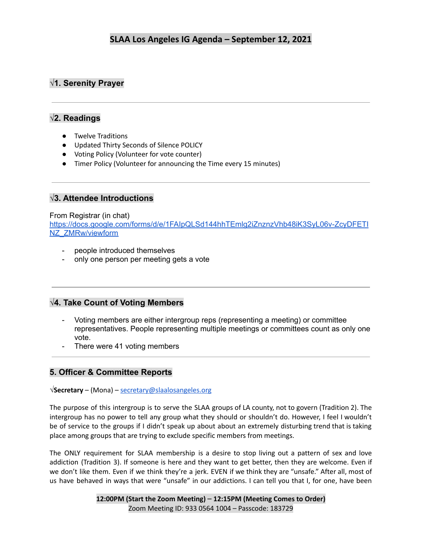## **√1. Serenity Prayer**

## **√2. Readings**

- Twelve Traditions
- Updated Thirty Seconds of Silence POLICY
- Voting Policy (Volunteer for vote counter)
- Timer Policy (Volunteer for announcing the Time every 15 minutes)

## **√3. Attendee Introductions**

#### From Registrar (in chat)

[https://docs.google.com/forms/d/e/1FAIpQLSd144hhTEmlg2iZnznzVhb48iK3SyL06v-ZcyDFETI](https://docs.google.com/forms/d/e/1FAIpQLSd144hhTEmlg2iZnznzVhb48iK3SyL06v-ZcyDFETINZ_ZMRw/viewform) [NZ\\_ZMRw/viewform](https://docs.google.com/forms/d/e/1FAIpQLSd144hhTEmlg2iZnznzVhb48iK3SyL06v-ZcyDFETINZ_ZMRw/viewform)

- people introduced themselves
- only one person per meeting gets a vote

## **√4. Take Count of Voting Members**

- Voting members are either intergroup reps (representing a meeting) or committee representatives. People representing multiple meetings or committees count as only one vote.
- There were 41 voting members

## **5. Officer & Committee Reports**

**√Secretary** – (Mona) – [secretary@slaalosangeles.org](mailto:secretary@slaalosangeles.org)

The purpose of this intergroup is to serve the SLAA groups of LA county, not to govern (Tradition 2). The intergroup has no power to tell any group what they should or shouldn't do. However, I feel I wouldn't be of service to the groups if I didn't speak up about about an extremely disturbing trend that is taking place among groups that are trying to exclude specific members from meetings.

The ONLY requirement for SLAA membership is a desire to stop living out a pattern of sex and love addiction (Tradition 3). If someone is here and they want to get better, then they are welcome. Even if we don't like them. Even if we think they're a jerk. EVEN if we think they are "unsafe." After all, most of us have behaved in ways that were "unsafe" in our addictions. I can tell you that I, for one, have been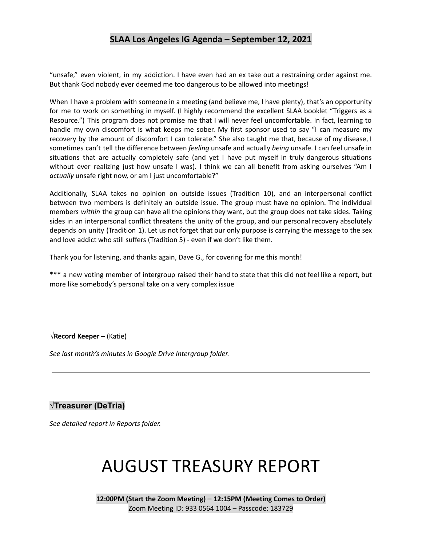"unsafe," even violent, in my addiction. I have even had an ex take out a restraining order against me. But thank God nobody ever deemed me too dangerous to be allowed into meetings!

When I have a problem with someone in a meeting (and believe me, I have plenty), that's an opportunity for me to work on something in myself. (I highly recommend the excellent SLAA booklet "Triggers as a Resource.") This program does not promise me that I will never feel uncomfortable. In fact, learning to handle my own discomfort is what keeps me sober. My first sponsor used to say "I can measure my recovery by the amount of discomfort I can tolerate." She also taught me that, because of my disease, I sometimes can't tell the difference between *feeling* unsafe and actually *being* unsafe. I can feel unsafe in situations that are actually completely safe (and yet I have put myself in truly dangerous situations without ever realizing just how unsafe I was). I think we can all benefit from asking ourselves "Am I *actually* unsafe right now, or am I just uncomfortable?"

Additionally, SLAA takes no opinion on outside issues (Tradition 10), and an interpersonal conflict between two members is definitely an outside issue. The group must have no opinion. The individual members *within* the group can have all the opinions they want, but the group does not take sides. Taking sides in an interpersonal conflict threatens the unity of the group, and our personal recovery absolutely depends on unity (Tradition 1). Let us not forget that our only purpose is carrying the message to the sex and love addict who still suffers (Tradition 5) - even if we don't like them.

Thank you for listening, and thanks again, Dave G., for covering for me this month!

\*\*\* a new voting member of intergroup raised their hand to state that this did not feel like a report, but more like somebody's personal take on a very complex issue

#### **√Record Keeper** – (Katie)

*See last month's minutes in Google Drive Intergroup folder.*

## **√Treasurer (DeTria)**

*See detailed report in Reports folder.*

# AUGUST TREASURY REPORT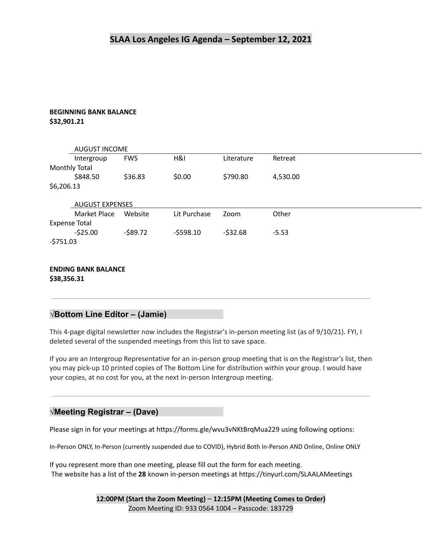#### **BEGINNING BANK BALANCE \$32,901.21**

|                      | <b>AUGUST INCOME</b>   |            |              |            |          |
|----------------------|------------------------|------------|--------------|------------|----------|
|                      | Intergroup             | <b>FWS</b> | H&I          | Literature | Retreat  |
| Monthly Total        |                        |            |              |            |          |
|                      | \$848.50               | \$36.83    | \$0.00       | \$790.80   | 4,530.00 |
| \$6,206.13           |                        |            |              |            |          |
|                      | <b>AUGUST EXPENSES</b> |            |              |            |          |
|                      | Market Place           | Website    | Lit Purchase | Zoom       | Other    |
| <b>Expense Total</b> |                        |            |              |            |          |
|                      | $-525.00$              | $-589.72$  | $-5598.10$   | $-532.68$  | $-5.53$  |
| $-5751.03$           |                        |            |              |            |          |

#### **ENDING BANK BALANCE \$38,356.31**

#### **√Bottom Line Editor – (Jamie)**

This 4-page digital newsletter now includes the Registrar's in-person meeting list (as of 9/10/21). FYI, I deleted several of the suspended meetings from this list to save space.

If you are an Intergroup Representative for an in-person group meeting that is on the Registrar's list, then you may pick-up 10 printed copies of The Bottom Line for distribution within your group. I would have your copies, at no cost for you, at the next in-person Intergroup meeting.

#### **√Meeting Registrar – (Dave)**

Please sign in for your meetings at https://forms.gle/wvu3vNKtBrqMua229 using following options:

In-Person ONLY, In-Person (currently suspended due to COVID), Hybrid Both In-Person AND Online, Online ONLY

If you represent more than one meeting, please fill out the form for each meeting. The website has a list of the **28** known in-person meetings at https://tinyurl.com/SLAALAMeetings

> **12:00PM (Start the Zoom Meeting)** – **12:15PM (Meeting Comes to Order)** Zoom Meeting ID: 933 0564 1004 – Passcode: 183729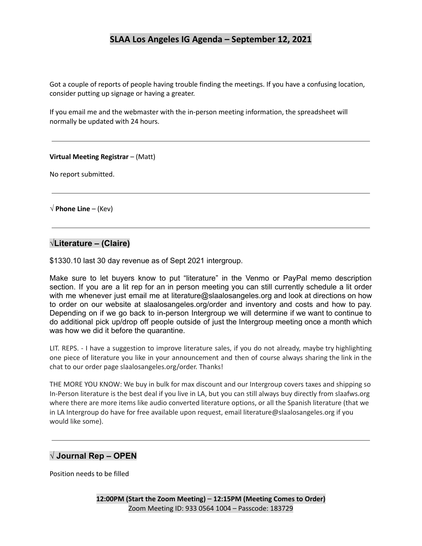Got a couple of reports of people having trouble finding the meetings. If you have a confusing location, consider putting up signage or having a greater.

If you email me and the webmaster with the in-person meeting information, the spreadsheet will normally be updated with 24 hours.

#### **Virtual Meeting Registrar** – (Matt)

No report submitted.

**√ Phone Line** – (Kev)

#### **√Literature – (Claire)**

\$1330.10 last 30 day revenue as of Sept 2021 intergroup.

Make sure to let buyers know to put "literature" in the Venmo or PayPal memo description section. If you are a lit rep for an in person meeting you can still currently schedule a lit order with me whenever just email me at literature@slaalosangeles.org and look at directions on how to order on our website at slaalosangeles.org/order and inventory and costs and how to pay. Depending on if we go back to in-person Intergroup we will determine if we want to continue to do additional pick up/drop off people outside of just the Intergroup meeting once a month which was how we did it before the quarantine.

LIT. REPS. - I have a suggestion to improve literature sales, if you do not already, maybe try highlighting one piece of literature you like in your announcement and then of course always sharing the link in the chat to our order page slaalosangeles.org/order. Thanks!

THE MORE YOU KNOW: We buy in bulk for max discount and our Intergroup covers taxes and shipping so In-Person literature is the best deal if you live in LA, but you can still always buy directly from slaafws.org where there are more items like audio converted literature options, or all the Spanish literature (that we in LA Intergroup do have for free available upon request, email literature@slaalosangeles.org if you would like some).

#### **√ Journal Rep – OPEN**

Position needs to be filled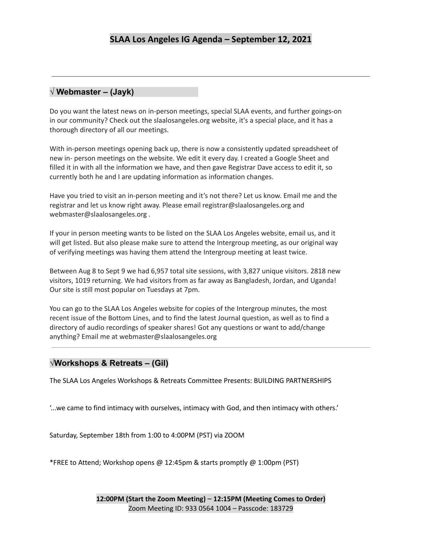## **√ Webmaster – (Jayk)**

Do you want the latest news on in-person meetings, special SLAA events, and further goings-on in our community? Check out the slaalosangeles.org website, it's a special place, and it has a thorough directory of all our meetings.

With in-person meetings opening back up, there is now a consistently updated spreadsheet of new in- person meetings on the website. We edit it every day. I created a Google Sheet and filled it in with all the information we have, and then gave Registrar Dave access to edit it, so currently both he and I are updating information as information changes.

Have you tried to visit an in-person meeting and it's not there? Let us know. Email me and the registrar and let us know right away. Please email registrar@slaalosangeles.org and webmaster@slaalosangeles.org .

If your in person meeting wants to be listed on the SLAA Los Angeles website, email us, and it will get listed. But also please make sure to attend the Intergroup meeting, as our original way of verifying meetings was having them attend the Intergroup meeting at least twice.

Between Aug 8 to Sept 9 we had 6,957 total site sessions, with 3,827 unique visitors. 2818 new visitors, 1019 returning. We had visitors from as far away as Bangladesh, Jordan, and Uganda! Our site is still most popular on Tuesdays at 7pm.

You can go to the SLAA Los Angeles website for copies of the Intergroup minutes, the most recent issue of the Bottom Lines, and to find the latest Journal question, as well as to find a directory of audio recordings of speaker shares! Got any questions or want to add/change anything? Email me at webmaster@slaalosangeles.org

#### **√Workshops & Retreats – (Gil)**

The SLAA Los Angeles Workshops & Retreats Committee Presents: BUILDING PARTNERSHIPS

'...we came to find intimacy with ourselves, intimacy with God, and then intimacy with others.'

Saturday, September 18th from 1:00 to 4:00PM (PST) via ZOOM

\*FREE to Attend; Workshop opens @ 12:45pm & starts promptly @ 1:00pm (PST)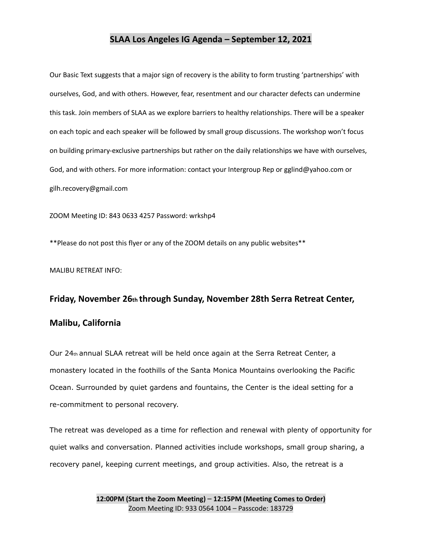Our Basic Text suggests that a major sign of recovery is the ability to form trusting 'partnerships' with ourselves, God, and with others. However, fear, resentment and our character defects can undermine this task. Join members of SLAA as we explore barriers to healthy relationships. There will be a speaker on each topic and each speaker will be followed by small group discussions. The workshop won't focus on building primary-exclusive partnerships but rather on the daily relationships we have with ourselves, God, and with others. For more information: contact your Intergroup Rep or gglind@yahoo.com or gilh.recovery@gmail.com

ZOOM Meeting ID: 843 0633 4257 Password: wrkshp4

\*\*Please do not post this flyer or any of the ZOOM details on any public websites\*\*

MALIBU RETREAT INFO:

## **Friday, November 26th through Sunday, November 28th Serra Retreat Center, Malibu, California**

Our 24th annual SLAA retreat will be held once again at the Serra Retreat Center, a monastery located in the foothills of the Santa Monica Mountains overlooking the Pacific Ocean. Surrounded by quiet gardens and fountains, the Center is the ideal setting for a re-commitment to personal recovery.

The retreat was developed as a time for reflection and renewal with plenty of opportunity for quiet walks and conversation. Planned activities include workshops, small group sharing, a recovery panel, keeping current meetings, and group activities. Also, the retreat is a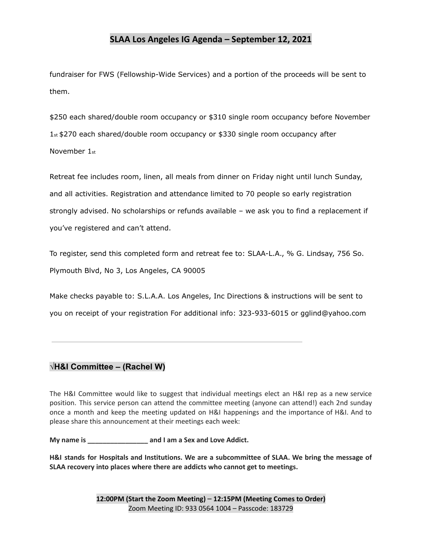fundraiser for FWS (Fellowship-Wide Services) and a portion of the proceeds will be sent to them.

\$250 each shared/double room occupancy or \$310 single room occupancy before November 1st \$270 each shared/double room occupancy or \$330 single room occupancy after November 1st

Retreat fee includes room, linen, all meals from dinner on Friday night until lunch Sunday, and all activities. Registration and attendance limited to 70 people so early registration strongly advised. No scholarships or refunds available – we ask you to find a replacement if you've registered and can't attend.

To register, send this completed form and retreat fee to: SLAA-L.A., % G. Lindsay, 756 So. Plymouth Blvd, No 3, Los Angeles, CA 90005

Make checks payable to: S.L.A.A. Los Angeles, Inc Directions & instructions will be sent to you on receipt of your registration For additional info: 323-933-6015 or gglind@yahoo.com

## **√H&I Committee – (Rachel W)**

The H&I Committee would like to suggest that individual meetings elect an H&I rep as a new service position. This service person can attend the committee meeting (anyone can attend!) each 2nd sunday once a month and keep the meeting updated on H&I happenings and the importance of H&I. And to please share this announcement at their meetings each week:

**My name is \_\_\_\_\_\_\_\_\_\_\_\_\_\_\_\_ and I am a Sex and Love Addict.**

**H&I stands for Hospitals and Institutions. We are a subcommittee of SLAA. We bring the message of SLAA recovery into places where there are addicts who cannot get to meetings.**

> **12:00PM (Start the Zoom Meeting)** – **12:15PM (Meeting Comes to Order)** Zoom Meeting ID: 933 0564 1004 – Passcode: 183729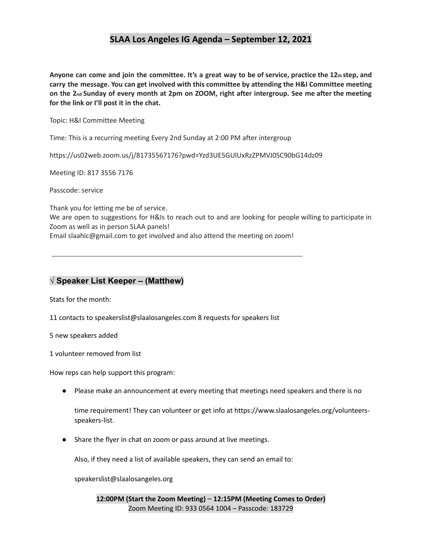Anyone can come and join the committee. It's a great way to be of service, practice the 12th step, and **carry the message. You can get involved with this committee by attending the H&I Committee meeting** on the 2nd Sunday of every month at 2pm on ZOOM, right after intergroup. See me after the meeting **for the link or I'll post it in the chat.**

Topic: H&I Committee Meeting

Time: This is a recurring meeting Every 2nd Sunday at 2:00 PM after intergroup

https://us02web.zoom.us/j/81735567176?pwd=Yzd3UE5GUlUxRzZPMVJ0SC90bG14dz09

Meeting ID: 817 3556 7176

Passcode: service

Thank you for letting me be of service.

We are open to suggestions for H&Is to reach out to and are looking for people willing to participate in Zoom as well as in person SLAA panels!

Email slaahic@gmail.com to get involved and also attend the meeting on zoom!

## **√ Speaker List Keeper – (Matthew)**

Stats for the month:

11 contacts to speakerslist@slaalosangeles.com 8 requests for speakers list

5 new speakers added

1 volunteer removed from list

How reps can help support this program:

● Please make an announcement at every meeting that meetings need speakers and there is no

time requirement! They can volunteer or get info at https://www.slaalosangeles.org/volunteersspeakers-list.

● Share the flyer in chat on zoom or pass around at live meetings.

Also, if they need a list of available speakers, they can send an email to:

speakerslist@slaalosangeles.org

**12:00PM (Start the Zoom Meeting)** – **12:15PM (Meeting Comes to Order)** Zoom Meeting ID: 933 0564 1004 – Passcode: 183729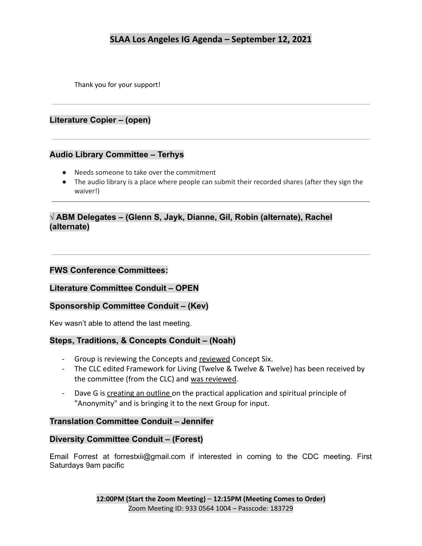Thank you for your support!

## **Literature Copier – (open)**

#### **Audio Library Committee – Terhys**

- Needs someone to take over the commitment
- The audio library is a place where people can submit their recorded shares (after they sign the waiver!)

## **√ ABM Delegates – (Glenn S, Jayk, Dianne, Gil, Robin (alternate), Rachel (alternate)**

#### **FWS Conference Committees:**

**Literature Committee Conduit – OPEN**

## **Sponsorship Committee Conduit – (Kev)**

Kev wasn't able to attend the last meeting.

#### **Steps, Traditions, & Concepts Conduit – (Noah)**

- Group is reviewing the Concepts and reviewed Concept Six.
- The CLC edited Framework for Living (Twelve & Twelve & Twelve) has been received by the committee (from the CLC) and was reviewed.
- Dave G is creating an outline on the practical application and spiritual principle of "Anonymity" and is bringing it to the next Group for input.

#### **Translation Committee Conduit – Jennifer**

#### **Diversity Committee Conduit – (Forest)**

Email Forrest at forrestxii@gmail.com if interested in coming to the CDC meeting. First Saturdays 9am pacific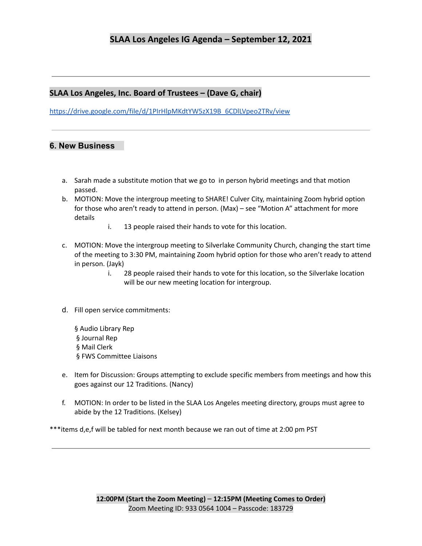#### **SLAA Los Angeles, Inc. Board of Trustees – (Dave G, chair)**

[https://drive.google.com/file/d/1PIrHlpMKdtYW5zX19B\\_6CDlLVpeo2TRv/view](https://drive.google.com/file/d/1PIrHlpMKdtYW5zX19B_6CDlLVpeo2TRv/view)

#### **6. New Business**

- a. Sarah made a substitute motion that we go to in person hybrid meetings and that motion passed.
- b. MOTION: Move the intergroup meeting to SHARE! Culver City, maintaining Zoom hybrid option for those who aren't ready to attend in person. (Max) – see "Motion A" attachment for more details
	- i. 13 people raised their hands to vote for this location.
- c. MOTION: Move the intergroup meeting to Silverlake Community Church, changing the start time of the meeting to 3:30 PM, maintaining Zoom hybrid option for those who aren't ready to attend in person. (Jayk)
	- i. 28 people raised their hands to vote for this location, so the Silverlake location will be our new meeting location for intergroup.
- d. Fill open service commitments:
	- § Audio Library Rep § Journal Rep § Mail Clerk § FWS Committee Liaisons
- e. Item for Discussion: Groups attempting to exclude specific members from meetings and how this goes against our 12 Traditions. (Nancy)
- f. MOTION: In order to be listed in the SLAA Los Angeles meeting directory, groups must agree to abide by the 12 Traditions. (Kelsey)

\*\*\*items d,e,f will be tabled for next month because we ran out of time at 2:00 pm PST